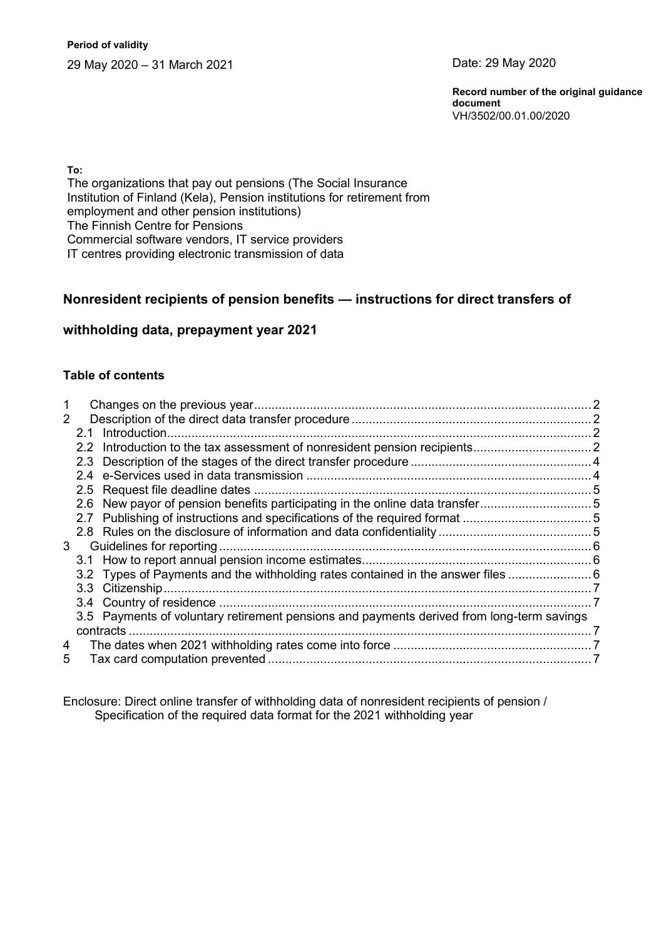**Period of validity** 29 May 2020 – 31 March 2021 Date: 29 May 2020

**Record number of the original guidance document** VH/3502/00.01.00/2020

**To:**

The organizations that pay out pensions (The Social Insurance Institution of Finland (Kela), Pension institutions for retirement from employment and other pension institutions) The Finnish Centre for Pensions Commercial software vendors, IT service providers IT centres providing electronic transmission of data

## **Nonresident recipients of pension benefits — instructions for direct transfers of**

## **withholding data, prepayment year 2021**

#### **Table of contents**

| $\mathcal{P}$ |  |                                                                                           |  |
|---------------|--|-------------------------------------------------------------------------------------------|--|
|               |  |                                                                                           |  |
|               |  |                                                                                           |  |
|               |  |                                                                                           |  |
|               |  |                                                                                           |  |
|               |  |                                                                                           |  |
|               |  | 2.6 New payor of pension benefits participating in the online data transfer5              |  |
|               |  |                                                                                           |  |
|               |  |                                                                                           |  |
| 3             |  |                                                                                           |  |
|               |  |                                                                                           |  |
|               |  | 3.2 Types of Payments and the withholding rates contained in the answer files             |  |
|               |  |                                                                                           |  |
|               |  |                                                                                           |  |
|               |  | 3.5 Payments of voluntary retirement pensions and payments derived from long-term savings |  |
|               |  |                                                                                           |  |
| 4             |  |                                                                                           |  |
| 5             |  |                                                                                           |  |

Enclosure: Direct online transfer of withholding data of nonresident recipients of pension / Specification of the required data format for the 2021 withholding year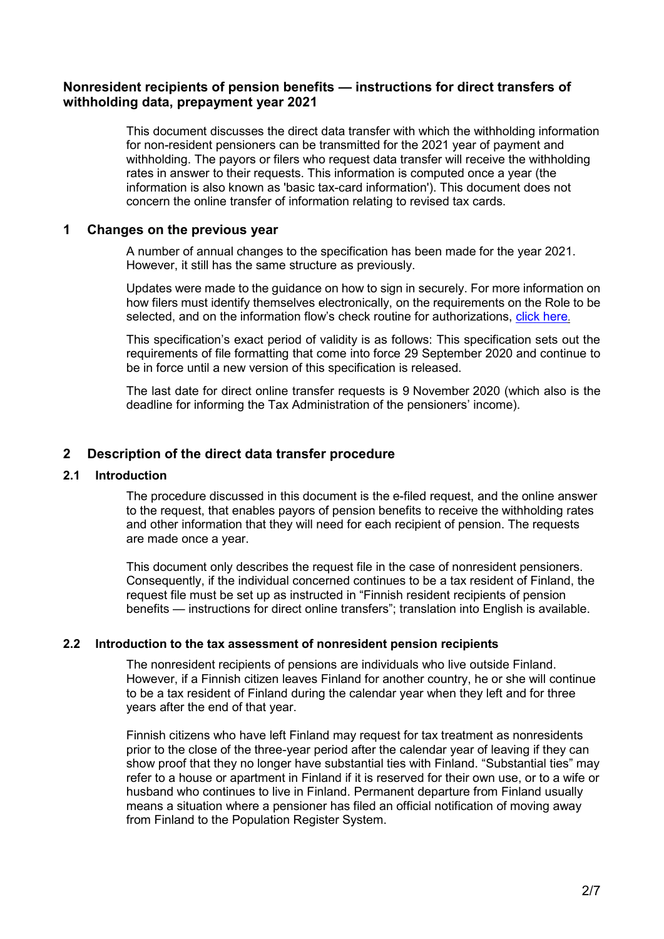# **Nonresident recipients of pension benefits — instructions for direct transfers of withholding data, prepayment year 2021**

This document discusses the direct data transfer with which the withholding information for non-resident pensioners can be transmitted for the 2021 year of payment and withholding. The payors or filers who request data transfer will receive the withholding rates in answer to their requests. This information is computed once a year (the information is also known as 'basic tax-card information'). This document does not concern the online transfer of information relating to revised tax cards.

## <span id="page-1-0"></span>**1 Changes on the previous year**

A number of annual changes to the specification has been made for the year 2021. However, it still has the same structure as previously.

Updates were made to the guidance on how to sign in securely. For more information on how filers must identify themselves electronically, on the requirements on the Role to be selected, and on the information flow's check routine for authorizations, [click here](https://www.ilmoitin.fi/webtamo/sivut/IlmoituslajiRoolit;jsessionid=3E2A091D1B46C512726DAD05C4B96D3D?kieli=en).

This specification's exact period of validity is as follows: This specification sets out the requirements of file formatting that come into force 29 September 2020 and continue to be in force until a new version of this specification is released.

The last date for direct online transfer requests is 9 November 2020 (which also is the deadline for informing the Tax Administration of the pensioners' income).

# <span id="page-1-1"></span>**2 Description of the direct data transfer procedure**

## <span id="page-1-2"></span>**2.1 Introduction**

The procedure discussed in this document is the e-filed request, and the online answer to the request, that enables payors of pension benefits to receive the withholding rates and other information that they will need for each recipient of pension. The requests are made once a year.

This document only describes the request file in the case of nonresident pensioners. Consequently, if the individual concerned continues to be a tax resident of Finland, the request file must be set up as instructed in "Finnish resident recipients of pension benefits — instructions for direct online transfers"; translation into English is available.

## <span id="page-1-3"></span>**2.2 Introduction to the tax assessment of nonresident pension recipients**

The nonresident recipients of pensions are individuals who live outside Finland. However, if a Finnish citizen leaves Finland for another country, he or she will continue to be a tax resident of Finland during the calendar year when they left and for three years after the end of that year.

Finnish citizens who have left Finland may request for tax treatment as nonresidents prior to the close of the three-year period after the calendar year of leaving if they can show proof that they no longer have substantial ties with Finland. "Substantial ties" may refer to a house or apartment in Finland if it is reserved for their own use, or to a wife or husband who continues to live in Finland. Permanent departure from Finland usually means a situation where a pensioner has filed an official notification of moving away from Finland to the Population Register System.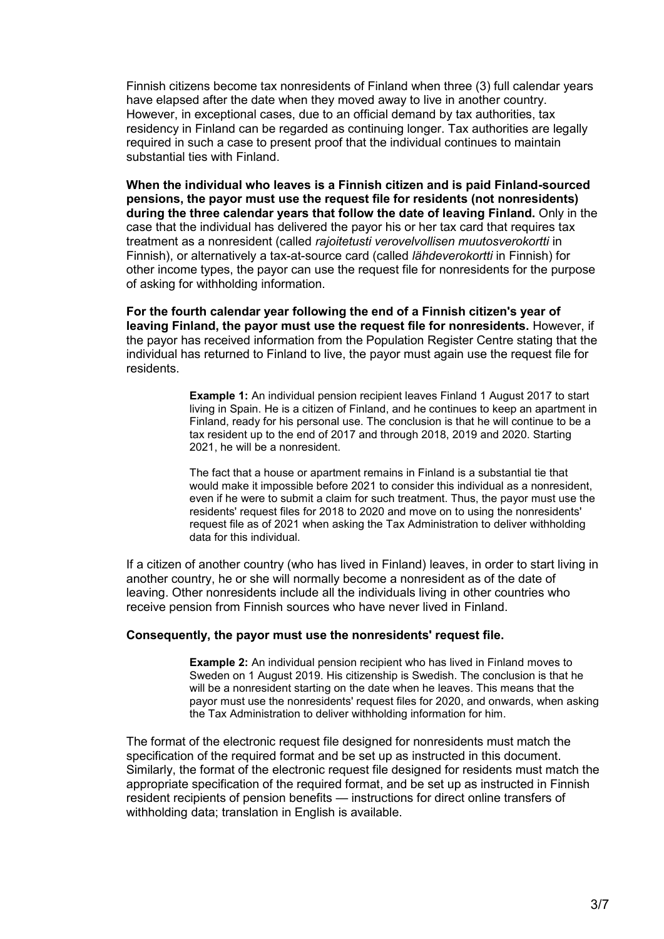Finnish citizens become tax nonresidents of Finland when three (3) full calendar years have elapsed after the date when they moved away to live in another country. However, in exceptional cases, due to an official demand by tax authorities, tax residency in Finland can be regarded as continuing longer. Tax authorities are legally required in such a case to present proof that the individual continues to maintain substantial ties with Finland.

**When the individual who leaves is a Finnish citizen and is paid Finland-sourced pensions, the payor must use the request file for residents (not nonresidents) during the three calendar years that follow the date of leaving Finland.** Only in the case that the individual has delivered the payor his or her tax card that requires tax treatment as a nonresident (called *rajoitetusti verovelvollisen muutosverokortti* in Finnish), or alternatively a tax-at-source card (called *lähdeverokortti* in Finnish) for other income types, the payor can use the request file for nonresidents for the purpose of asking for withholding information.

**For the fourth calendar year following the end of a Finnish citizen's year of leaving Finland, the payor must use the request file for nonresidents.** However, if the payor has received information from the Population Register Centre stating that the individual has returned to Finland to live, the payor must again use the request file for residents.

> **Example 1:** An individual pension recipient leaves Finland 1 August 2017 to start living in Spain. He is a citizen of Finland, and he continues to keep an apartment in Finland, ready for his personal use. The conclusion is that he will continue to be a tax resident up to the end of 2017 and through 2018, 2019 and 2020. Starting 2021, he will be a nonresident.

> The fact that a house or apartment remains in Finland is a substantial tie that would make it impossible before 2021 to consider this individual as a nonresident, even if he were to submit a claim for such treatment. Thus, the payor must use the residents' request files for 2018 to 2020 and move on to using the nonresidents' request file as of 2021 when asking the Tax Administration to deliver withholding data for this individual.

If a citizen of another country (who has lived in Finland) leaves, in order to start living in another country, he or she will normally become a nonresident as of the date of leaving. Other nonresidents include all the individuals living in other countries who receive pension from Finnish sources who have never lived in Finland.

#### **Consequently, the payor must use the nonresidents' request file.**

**Example 2:** An individual pension recipient who has lived in Finland moves to Sweden on 1 August 2019. His citizenship is Swedish. The conclusion is that he will be a nonresident starting on the date when he leaves. This means that the payor must use the nonresidents' request files for 2020, and onwards, when asking the Tax Administration to deliver withholding information for him.

The format of the electronic request file designed for nonresidents must match the specification of the required format and be set up as instructed in this document. Similarly, the format of the electronic request file designed for residents must match the appropriate specification of the required format, and be set up as instructed in Finnish resident recipients of pension benefits — instructions for direct online transfers of withholding data; translation in English is available.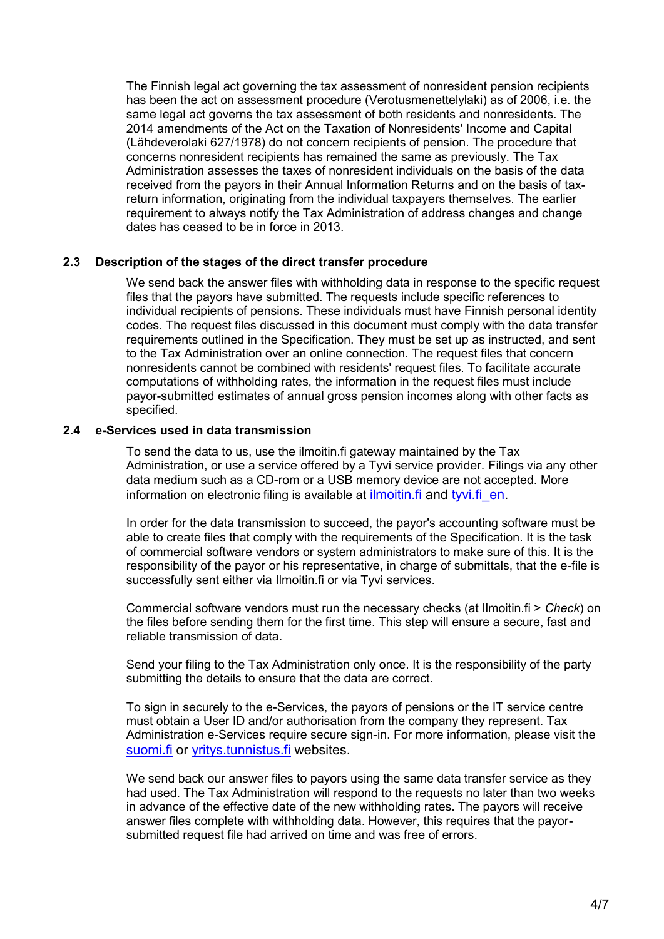The Finnish legal act governing the tax assessment of nonresident pension recipients has been the act on assessment procedure (Verotusmenettelylaki) as of 2006, i.e. the same legal act governs the tax assessment of both residents and nonresidents. The 2014 amendments of the Act on the Taxation of Nonresidents' Income and Capital (Lähdeverolaki 627/1978) do not concern recipients of pension. The procedure that concerns nonresident recipients has remained the same as previously. The Tax Administration assesses the taxes of nonresident individuals on the basis of the data received from the payors in their Annual Information Returns and on the basis of taxreturn information, originating from the individual taxpayers themselves. The earlier requirement to always notify the Tax Administration of address changes and change dates has ceased to be in force in 2013.

#### <span id="page-3-0"></span>**2.3 Description of the stages of the direct transfer procedure**

We send back the answer files with withholding data in response to the specific request files that the payors have submitted. The requests include specific references to individual recipients of pensions. These individuals must have Finnish personal identity codes. The request files discussed in this document must comply with the data transfer requirements outlined in the Specification. They must be set up as instructed, and sent to the Tax Administration over an online connection. The request files that concern nonresidents cannot be combined with residents' request files. To facilitate accurate computations of withholding rates, the information in the request files must include payor-submitted estimates of annual gross pension incomes along with other facts as specified.

#### <span id="page-3-1"></span>**2.4 e-Services used in data transmission**

To send the data to us, use the ilmoitin.fi gateway maintained by the Tax Administration, or use a service offered by a Tyvi service provider. Filings via any other data medium such as a CD-rom or a USB memory device are not accepted. More information on electronic filing is available at ilmoitin. fi and tyvi. fi en.

In order for the data transmission to succeed, the payor's accounting software must be able to create files that comply with the requirements of the Specification. It is the task of commercial software vendors or system administrators to make sure of this. It is the responsibility of the payor or his representative, in charge of submittals, that the e-file is successfully sent either via Ilmoitin.fi or via Tyvi services.

Commercial software vendors must run the necessary checks (at Ilmoitin.fi > *Check*) on the files before sending them for the first time. This step will ensure a secure, fast and reliable transmission of data.

Send your filing to the Tax Administration only once. It is the responsibility of the party submitting the details to ensure that the data are correct.

To sign in securely to the e-Services, the payors of pensions or the IT service centre must obtain a User ID and/or authorisation from the company they represent. Tax Administration e-Services require secure sign-in. For more information, please visit the [suomi.fi](https://www.suomi.fi/frontpage) or [yritys.tunnistus.fi](https://yritys.tunnistus.fi/) websites.

We send back our answer files to payors using the same data transfer service as they had used. The Tax Administration will respond to the requests no later than two weeks in advance of the effective date of the new withholding rates. The payors will receive answer files complete with withholding data. However, this requires that the payorsubmitted request file had arrived on time and was free of errors.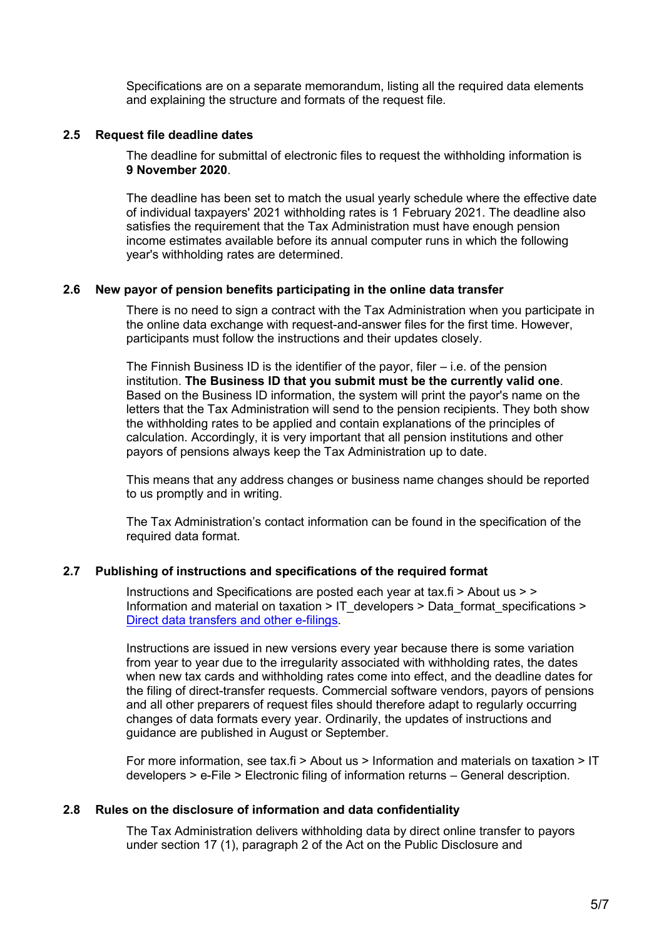Specifications are on a separate memorandum, listing all the required data elements and explaining the structure and formats of the request file.

#### <span id="page-4-0"></span>**2.5 Request file deadline dates**

The deadline for submittal of electronic files to request the withholding information is **9 November 2020**.

The deadline has been set to match the usual yearly schedule where the effective date of individual taxpayers' 2021 withholding rates is 1 February 2021. The deadline also satisfies the requirement that the Tax Administration must have enough pension income estimates available before its annual computer runs in which the following year's withholding rates are determined.

## <span id="page-4-1"></span>**2.6 New payor of pension benefits participating in the online data transfer**

There is no need to sign a contract with the Tax Administration when you participate in the online data exchange with request-and-answer files for the first time. However, participants must follow the instructions and their updates closely.

The Finnish Business ID is the identifier of the payor, filer  $-$  i.e. of the pension institution. **The Business ID that you submit must be the currently valid one**. Based on the Business ID information, the system will print the payor's name on the letters that the Tax Administration will send to the pension recipients. They both show the withholding rates to be applied and contain explanations of the principles of calculation. Accordingly, it is very important that all pension institutions and other payors of pensions always keep the Tax Administration up to date.

This means that any address changes or business name changes should be reported to us promptly and in writing.

The Tax Administration's contact information can be found in the specification of the required data format.

## <span id="page-4-2"></span>**2.7 Publishing of instructions and specifications of the required format**

Instructions and Specifications are posted each year at tax.fi > About us > > Information and material on taxation > [IT\\_developers](http://www.vero.fi/fi-FI/Syventavat_veroohjeet/Sahkoinen_asiointi/Kehittajat) > [Data\\_format\\_specifications](http://www.vero.fi/fi-FI/Syventavat_veroohjeet/Sahkoinen_asiointi/Kehittajat/Tietuekuvaukset) > [Direct data transfers and other e-filings.](https://www.vero.fi/en/About-us/information_and_material_on_taxatio/it_developer/data-format-specifications/specifications__direct_data_transfers_a/)

Instructions are issued in new versions every year because there is some variation from year to year due to the irregularity associated with withholding rates, the dates when new tax cards and withholding rates come into effect, and the deadline dates for the filing of direct-transfer requests. Commercial software vendors, payors of pensions and all other preparers of request files should therefore adapt to regularly occurring changes of data formats every year. Ordinarily, the updates of instructions and guidance are published in August or September.

For more information, see tax.fi > About us > Information and materials on taxation > IT developers > e-File > Electronic filing of information returns – General description.

## <span id="page-4-3"></span>**2.8 Rules on the disclosure of information and data confidentiality**

The Tax Administration delivers withholding data by direct online transfer to payors under section 17 (1), paragraph 2 of the Act on the Public Disclosure and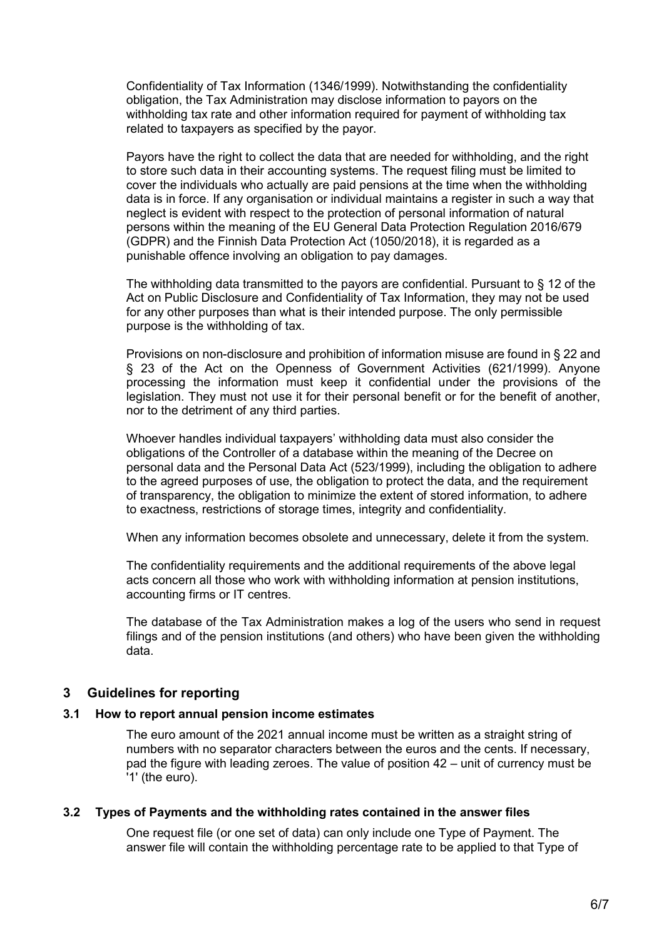Confidentiality of Tax Information (1346/1999). Notwithstanding the confidentiality obligation, the Tax Administration may disclose information to payors on the withholding tax rate and other information required for payment of withholding tax related to taxpayers as specified by the payor.

Payors have the right to collect the data that are needed for withholding, and the right to store such data in their accounting systems. The request filing must be limited to cover the individuals who actually are paid pensions at the time when the withholding data is in force. If any organisation or individual maintains a register in such a way that neglect is evident with respect to the protection of personal information of natural persons within the meaning of the EU General Data Protection Regulation 2016/679 (GDPR) and the Finnish Data Protection Act (1050/2018), it is regarded as a punishable offence involving an obligation to pay damages.

The withholding data transmitted to the payors are confidential. Pursuant to § 12 of the Act on Public Disclosure and Confidentiality of Tax Information, they may not be used for any other purposes than what is their intended purpose. The only permissible purpose is the withholding of tax.

Provisions on non-disclosure and prohibition of information misuse are found in § 22 and § 23 of the Act on the Openness of Government Activities (621/1999). Anyone processing the information must keep it confidential under the provisions of the legislation. They must not use it for their personal benefit or for the benefit of another, nor to the detriment of any third parties.

Whoever handles individual taxpayers' withholding data must also consider the obligations of the Controller of a database within the meaning of the Decree on personal data and the Personal Data Act (523/1999), including the obligation to adhere to the agreed purposes of use, the obligation to protect the data, and the requirement of transparency, the obligation to minimize the extent of stored information, to adhere to exactness, restrictions of storage times, integrity and confidentiality.

When any information becomes obsolete and unnecessary, delete it from the system.

The confidentiality requirements and the additional requirements of the above legal acts concern all those who work with withholding information at pension institutions, accounting firms or IT centres.

The database of the Tax Administration makes a log of the users who send in request filings and of the pension institutions (and others) who have been given the withholding data.

# <span id="page-5-0"></span>**3 Guidelines for reporting**

## <span id="page-5-1"></span>**3.1 How to report annual pension income estimates**

The euro amount of the 2021 annual income must be written as a straight string of numbers with no separator characters between the euros and the cents. If necessary, pad the figure with leading zeroes. The value of position 42 – unit of currency must be '1' (the euro).

#### <span id="page-5-2"></span>**3.2 Types of Payments and the withholding rates contained in the answer files**

One request file (or one set of data) can only include one Type of Payment. The answer file will contain the withholding percentage rate to be applied to that Type of